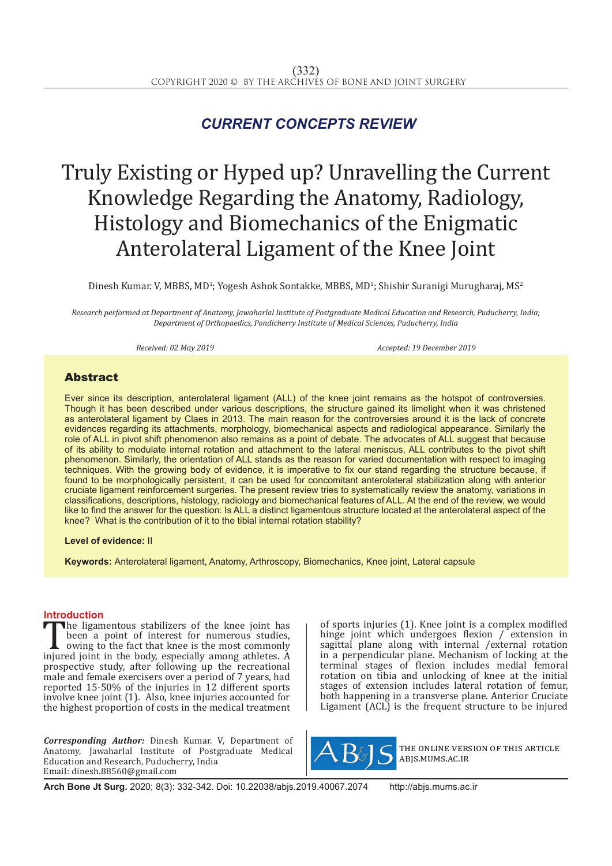## *CURRENT CONCEPTS REVIEW*

# Truly Existing or Hyped up? Unravelling the Current Knowledge Regarding the Anatomy, Radiology, Histology and Biomechanics of the Enigmatic Anterolateral Ligament of the Knee Joint

Dinesh Kumar. V, MBBS, MD<sup>1</sup>; Yogesh Ashok Sontakke, MBBS, MD<sup>1</sup>; Shishir Suranigi Murugharaj, MS<sup>2</sup>

*Research performed at Department of Anatomy, Jawaharlal Institute of Postgraduate Medical Education and Research, Puducherry, India; Department of Orthopaedics, Pondicherry Institute of Medical Sciences, Puducherry, India*

*Received: 02 May 2019 Accepted: 19 December 2019*

### Abstract

Ever since its description, anterolateral ligament (ALL) of the knee joint remains as the hotspot of controversies. Though it has been described under various descriptions, the structure gained its limelight when it was christened as anterolateral ligament by Claes in 2013. The main reason for the controversies around it is the lack of concrete evidences regarding its attachments, morphology, biomechanical aspects and radiological appearance. Similarly the role of ALL in pivot shift phenomenon also remains as a point of debate. The advocates of ALL suggest that because of its ability to modulate internal rotation and attachment to the lateral meniscus, ALL contributes to the pivot shift phenomenon. Similarly, the orientation of ALL stands as the reason for varied documentation with respect to imaging techniques. With the growing body of evidence, it is imperative to fix our stand regarding the structure because, if found to be morphologically persistent, it can be used for concomitant anterolateral stabilization along with anterior cruciate ligament reinforcement surgeries. The present review tries to systematically review the anatomy, variations in classifications, descriptions, histology, radiology and biomechanical features of ALL. At the end of the review, we would like to find the answer for the question: Is ALL a distinct ligamentous structure located at the anterolateral aspect of the knee? What is the contribution of it to the tibial internal rotation stability?

**Level of evidence:** II

**Keywords:** Anterolateral ligament, Anatomy, Arthroscopy, Biomechanics, Knee joint, Lateral capsule

**Introduction**<br>**The ligamentous stabilizers of the knee joint has** The ligamentous stabilizers of the knee joint has<br>been a point of interest for numerous studies,<br>owing to the fact that knee is the most commonly<br>injured joint in the body, especially among athletes. A<br>prospective study af been a point of interest for numerous studies, owing to the fact that knee is the most commonly injured joint in the body, especially among athletes. A prospective study, after following up the recreational male and female exercisers over a period of 7 years, had reported 15-50% of the injuries in 12 different sports involve knee joint (1). Also, knee injuries accounted for the highest proportion of costs in the medical treatment

*Corresponding Author:* Dinesh Kumar. V, Department of Anatomy, Jawaharlal Institute of Postgraduate Medical Education and Research, Puducherry, India Email: dinesh.88560@gmail.com

of sports injuries (1). Knee joint is a complex modified hinge joint which undergoes flexion / extension in sagittal plane along with internal /external rotation in a perpendicular plane. Mechanism of locking at the terminal stages of flexion includes medial femoral rotation on tibia and unlocking of knee at the initial stages of extension includes lateral rotation of femur, both happening in a transverse plane. Anterior Cruciate Ligament (ACL) is the frequent structure to be injured



the online version of this article abjs.mums.ac.ir

**Arch Bone Jt Surg.** 2020; 8(3): 332-342. Doi: 10.22038/abjs.2019.40067.2074 http://abjs.mums.ac.ir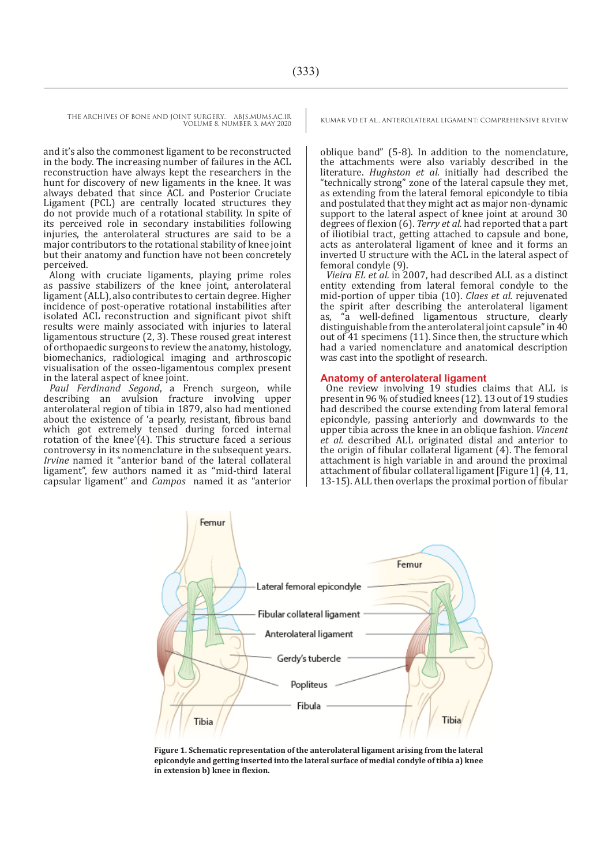and it's also the commonest ligament to be reconstructed in the body. The increasing number of failures in the ACL reconstruction have always kept the researchers in the hunt for discovery of new ligaments in the knee. It was always debated that since ACL and Posterior Cruciate Ligament (PCL) are centrally located structures they do not provide much of a rotational stability. In spite of its perceived role in secondary instabilities following injuries, the anterolateral structures are said to be a major contributors to the rotational stability of knee joint but their anatomy and function have not been concretely perceived.

Along with cruciate ligaments, playing prime roles as passive stabilizers of the knee joint, anterolateral ligament (ALL), also contributes to certain degree. Higher incidence of post-operative rotational instabilities after isolated ACL reconstruction and significant pivot shift results were mainly associated with injuries to lateral ligamentous structure (2, 3). These roused great interest of orthopaedic surgeons to review the anatomy, histology, biomechanics, radiological imaging and arthroscopic visualisation of the osseo-ligamentous complex present in the lateral aspect of knee joint.

*Paul Ferdinand Segond*, a French surgeon, while describing an avulsion fracture involving upper anterolateral region of tibia in 1879, also had mentioned about the existence of 'a pearly, resistant, fibrous band which got extremely tensed during forced internal rotation of the knee'(4). This structure faced a serious controversy in its nomenclature in the subsequent years. *Irvine* named it "anterior band of the lateral collateral ligament", few authors named it as "mid-third lateral capsular ligament" and *Campos* named it as "anterior

oblique band" (5-8). In addition to the nomenclature, the attachments were also variably described in the literature. *Hughston et al.* initially had described the "technically strong" zone of the lateral capsule they met, as extending from the lateral femoral epicondyle to tibia and postulated that they might act as major non-dynamic support to the lateral aspect of knee joint at around 30 degrees of flexion (6). *Terry et al.* had reported that a part of iliotibial tract, getting attached to capsule and bone, acts as anterolateral ligament of knee and it forms an inverted U structure with the ACL in the lateral aspect of femoral condyle (9).

*Vieira EL et al.* in 2007, had described ALL as a distinct entity extending from lateral femoral condyle to the mid-portion of upper tibia (10). *Claes et al.* rejuvenated the spirit after describing the anterolateral ligament a well-defined ligamentous structure, clearly distinguishable from the anterolateral joint capsule" in 40 out of 41 specimens (11). Since then, the structure which had a varied nomenclature and anatomical description was cast into the spotlight of research.

#### **Anatomy of anterolateral ligament**

One review involving 19 studies claims that ALL is present in 96 % of studied knees (12). 13 out of 19 studies had described the course extending from lateral femoral epicondyle, passing anteriorly and downwards to the upper tibia across the knee in an oblique fashion. *Vincent et al.* described ALL originated distal and anterior to the origin of fibular collateral ligament (4). The femoral attachment is high variable in and around the proximal attachment of fibular collateral ligament [Figure 1] (4, 11, 13-15). ALL then overlaps the proximal portion of fibular



**Figure 1. Schematic representation of the anterolateral ligament arising from the lateral epicondyle and getting inserted into the lateral surface of medial condyle of tibia a) knee in extension b) knee in flexion.**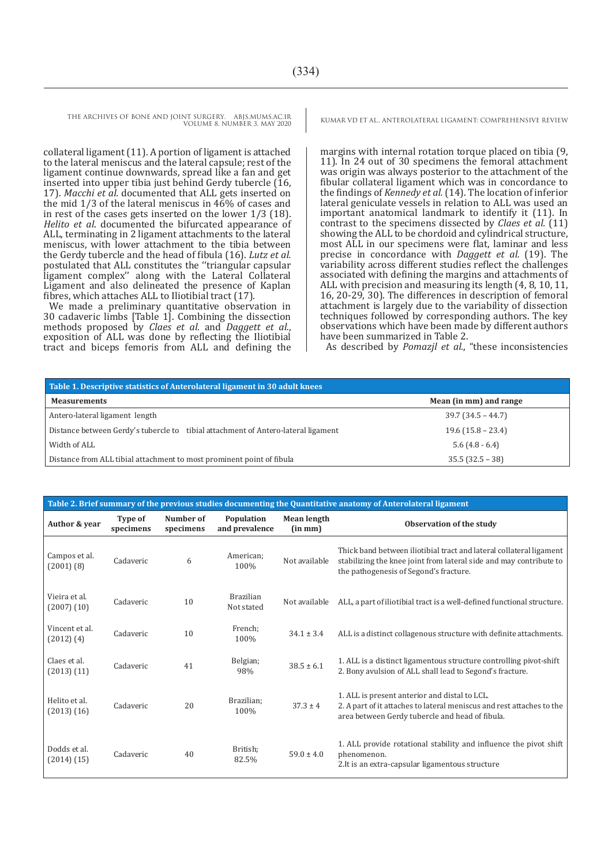collateral ligament (11). A portion of ligament is attached to the lateral meniscus and the lateral capsule; rest of the ligament continue downwards, spread like a fan and get inserted into upper tibia just behind Gerdy tubercle (16, 17). *Macchi et al.* documented that ALL gets inserted on the mid 1/3 of the lateral meniscus in 46% of cases and in rest of the cases gets inserted on the lower 1/3 (18). *Helito et al*. documented the bifurcated appearance of ALL, terminating in 2 ligament attachments to the lateral meniscus, with lower attachment to the tibia between the Gerdy tubercle and the head of fibula (16). *Lutz et al.* postulated that ALL constitutes the ''triangular capsular ligament complex'' along with the Lateral Collateral Ligament and also delineated the presence of Kaplan fibres, which attaches ALL to Iliotibial tract (17).

We made a preliminary quantitative observation in 30 cadaveric limbs [Table 1]. Combining the dissection methods proposed by *Claes et al.* and *Daggett et al.*, exposition of ALL was done by reflecting the Iliotibial tract and biceps femoris from ALL and defining the

margins with internal rotation torque placed on tibia (9, 11). In 24 out of 30 specimens the femoral attachment was origin was always posterior to the attachment of the fibular collateral ligament which was in concordance to the findings of *Kennedy et al.* (14). The location of inferior lateral geniculate vessels in relation to ALL was used an important anatomical landmark to identify it (11). In contrast to the specimens dissected by *Claes et al.* (11) showing the ALL to be chordoid and cylindrical structure. most ALL in our specimens were flat, laminar and less precise in concordance with *Daggett et al.* (19). The variability across different studies reflect the challenges associated with defining the margins and attachments of ALL with precision and measuring its length (4, 8, 10, 11, 16, 20-29, 30). The differences in description of femoral attachment is largely due to the variability of dissection techniques followed by corresponding authors. The key observations which have been made by different authors

have been summarized in Table 2. As described by *Pomazjl et al.*, "these inconsistencies

| Table 1. Descriptive statistics of Anterolateral ligament in 30 adult knees       |                        |  |  |  |
|-----------------------------------------------------------------------------------|------------------------|--|--|--|
| <b>Measurements</b>                                                               | Mean (in mm) and range |  |  |  |
| Antero-lateral ligament length                                                    | $39.7(34.5 - 44.7)$    |  |  |  |
| Distance between Gerdy's tubercle to tibial attachment of Antero-lateral ligament | $19.6$ (15.8 – 23.4)   |  |  |  |
| Width of ALL                                                                      | $5.6(4.8-6.4)$         |  |  |  |
| Distance from ALL tibial attachment to most prominent point of fibula             | $35.5(32.5-38)$        |  |  |  |

| Table 2. Brief summary of the previous studies documenting the Quantitative anatomy of Anterolateral ligament |                      |                        |                                |                               |                                                                                                                                                                                     |
|---------------------------------------------------------------------------------------------------------------|----------------------|------------------------|--------------------------------|-------------------------------|-------------------------------------------------------------------------------------------------------------------------------------------------------------------------------------|
| Author & year                                                                                                 | Type of<br>specimens | Number of<br>specimens | Population<br>and prevalence   | <b>Mean length</b><br>(in mm) | Observation of the study                                                                                                                                                            |
| Campos et al.<br>$(2001)$ $(8)$                                                                               | Cadaveric            | 6                      | American;<br>100%              | Not available                 | Thick band between iliotibial tract and lateral collateral ligament<br>stabilizing the knee joint from lateral side and may contribute to<br>the pathogenesis of Segond's fracture. |
| Vieira et al.<br>$(2007)$ $(10)$                                                                              | Cadaveric            | 10                     | <b>Brazilian</b><br>Not stated | Not available                 | ALL, a part of iliotibial tract is a well-defined functional structure.                                                                                                             |
| Vincent et al.<br>$(2012)$ $(4)$                                                                              | Cadaveric            | 10                     | French;<br>100%                | $34.1 \pm 3.4$                | ALL is a distinct collagenous structure with definite attachments.                                                                                                                  |
| Claes et al.<br>(2013)(11)                                                                                    | Cadaveric            | 41                     | Belgian;<br>98%                | $38.5 \pm 6.1$                | 1. ALL is a distinct ligamentous structure controlling pivot-shift<br>2. Bony avulsion of ALL shall lead to Segond's fracture.                                                      |
| Helito et al.<br>(2013)(16)                                                                                   | Cadaveric            | 20                     | Brazilian:<br>100%             | $37.3 \pm 4$                  | 1. ALL is present anterior and distal to LCL.<br>2. A part of it attaches to lateral meniscus and rest attaches to the<br>area between Gerdy tubercle and head of fibula.           |
| Dodds et al.<br>$(2014)$ $(15)$                                                                               | Cadaveric            | 40                     | British:<br>82.5%              | $59.0 \pm 4.0$                | 1. ALL provide rotational stability and influence the pivot shift<br>phenomenon.<br>2. It is an extra-capsular ligamentous structure                                                |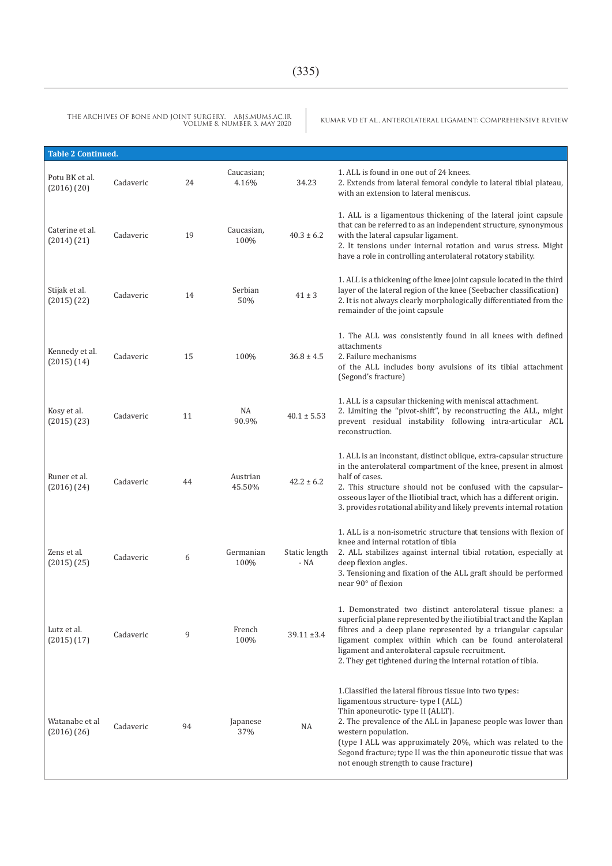THE ARCHIVES OF BONE AND JOINT SURGERY. ABJS.MUMS.AC.IR<br>Volume 8. Number 3. May 2020

KUMAR VD ET AL., ANTEROLATERAL LIGAMENT: COMPREHENSIVE REVIEW

| <b>Table 2 Continued.</b>         |           |    |                     |                       |                                                                                                                                                                                                                                                                                                                                                                                                           |
|-----------------------------------|-----------|----|---------------------|-----------------------|-----------------------------------------------------------------------------------------------------------------------------------------------------------------------------------------------------------------------------------------------------------------------------------------------------------------------------------------------------------------------------------------------------------|
| Potu BK et al.<br>$(2016)$ $(20)$ | Cadaveric | 24 | Caucasian;<br>4.16% | 34.23                 | 1. ALL is found in one out of 24 knees.<br>2. Extends from lateral femoral condyle to lateral tibial plateau,<br>with an extension to lateral meniscus.                                                                                                                                                                                                                                                   |
| Caterine et al.<br>(2014) (21)    | Cadaveric | 19 | Caucasian,<br>100%  | $40.3 \pm 6.2$        | 1. ALL is a ligamentous thickening of the lateral joint capsule<br>that can be referred to as an independent structure, synonymous<br>with the lateral capsular ligament.<br>2. It tensions under internal rotation and varus stress. Might<br>have a role in controlling anterolateral rotatory stability.                                                                                               |
| Stijak et al.<br>(2015)(22)       | Cadaveric | 14 | Serbian<br>50%      | $41 \pm 3$            | 1. ALL is a thickening of the knee joint capsule located in the third<br>layer of the lateral region of the knee (Seebacher classification)<br>2. It is not always clearly morphologically differentiated from the<br>remainder of the joint capsule                                                                                                                                                      |
| Kennedy et al.<br>$(2015)$ $(14)$ | Cadaveric | 15 | 100%                | $36.8 \pm 4.5$        | 1. The ALL was consistently found in all knees with defined<br>attachments<br>2. Failure mechanisms<br>of the ALL includes bony avulsions of its tibial attachment<br>(Segond's fracture)                                                                                                                                                                                                                 |
| Kosy et al.<br>$(2015)$ $(23)$    | Cadaveric | 11 | NA<br>90.9%         | $40.1 \pm 5.53$       | 1. ALL is a capsular thickening with meniscal attachment.<br>2. Limiting the "pivot-shift", by reconstructing the ALL, might<br>prevent residual instability following intra-articular ACL<br>reconstruction.                                                                                                                                                                                             |
| Runer et al.<br>(2016) (24)       | Cadaveric | 44 | Austrian<br>45.50%  | $42.2 \pm 6.2$        | 1. ALL is an inconstant, distinct oblique, extra-capsular structure<br>in the anterolateral compartment of the knee, present in almost<br>half of cases.<br>2. This structure should not be confused with the capsular-<br>osseous layer of the Iliotibial tract, which has a different origin.<br>3. provides rotational ability and likely prevents internal rotation                                   |
| Zens et al.<br>(2015) (25)        | Cadaveric | 6  | Germanian<br>100%   | Static length<br>- NA | 1. ALL is a non-isometric structure that tensions with flexion of<br>knee and internal rotation of tibia<br>2. ALL stabilizes against internal tibial rotation, especially at<br>deep flexion angles.<br>3. Tensioning and fixation of the ALL graft should be performed<br>near 90° of flexion                                                                                                           |
| Lutz et al.<br>(2015)(17)         | Cadaveric | 9  | French<br>100%      | 39.11 ±3.4            | 1. Demonstrated two distinct anterolateral tissue planes: a<br>superficial plane represented by the iliotibial tract and the Kaplan<br>fibres and a deep plane represented by a triangular capsular<br>ligament complex within which can be found anterolateral<br>ligament and anterolateral capsule recruitment.<br>2. They get tightened during the internal rotation of tibia.                        |
| Watanabe et al<br>$(2016)$ $(26)$ | Cadaveric | 94 | Japanese<br>37%     | NA                    | 1. Classified the lateral fibrous tissue into two types:<br>ligamentous structure-type I (ALL)<br>Thin aponeurotic-type II (ALLT).<br>2. The prevalence of the ALL in Japanese people was lower than<br>western population.<br>(type I ALL was approximately 20%, which was related to the<br>Segond fracture; type II was the thin aponeurotic tissue that was<br>not enough strength to cause fracture) |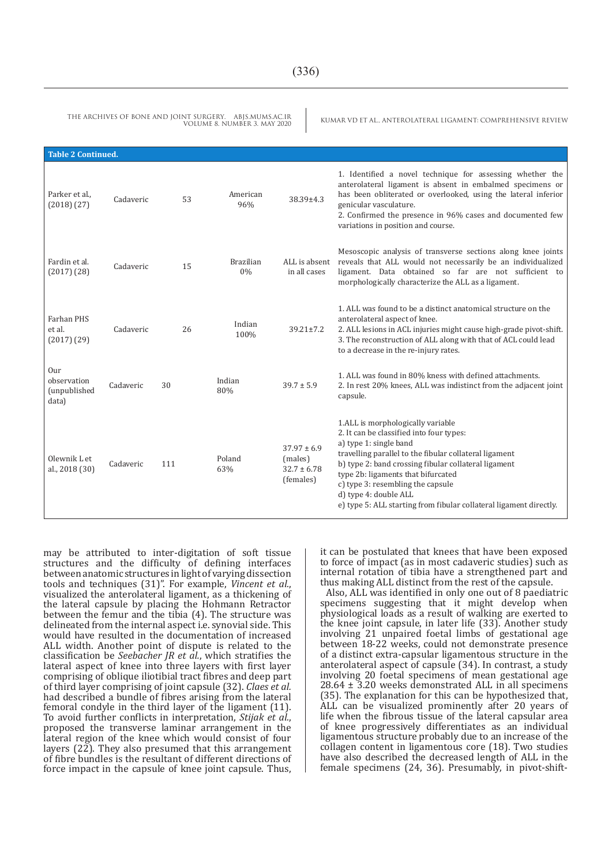| <b>Table 2 Continued.</b>                   |           |     |                        |                                                            |                                                                                                                                                                                                                                                                                                                                                                                                     |
|---------------------------------------------|-----------|-----|------------------------|------------------------------------------------------------|-----------------------------------------------------------------------------------------------------------------------------------------------------------------------------------------------------------------------------------------------------------------------------------------------------------------------------------------------------------------------------------------------------|
| Parker et al<br>(2018)(27)                  | Cadaveric | 53  | American<br>96%        | $38.39 \pm 4.3$                                            | 1. Identified a novel technique for assessing whether the<br>anterolateral ligament is absent in embalmed specimens or<br>has been obliterated or overlooked, using the lateral inferior<br>genicular vasculature.<br>2. Confirmed the presence in 96% cases and documented few<br>variations in position and course.                                                                               |
| Fardin et al.<br>$(2017)$ $(28)$            | Cadaveric | 15  | <b>Brazilian</b><br>0% | ALL is absent<br>in all cases                              | Mesoscopic analysis of transverse sections along knee joints<br>reveals that ALL would not necessarily be an individualized<br>ligament. Data obtained so far are not sufficient to<br>morphologically characterize the ALL as a ligament.                                                                                                                                                          |
| Farhan PHS<br>et al.<br>$(2017)$ $(29)$     | Cadaveric | 26  | Indian<br>100%         | $39.21 \pm 7.2$                                            | 1. ALL was found to be a distinct anatomical structure on the<br>anterolateral aspect of knee.<br>2. ALL lesions in ACL injuries might cause high-grade pivot-shift.<br>3. The reconstruction of ALL along with that of ACL could lead<br>to a decrease in the re-injury rates.                                                                                                                     |
| Our<br>observation<br>(unpublished<br>data) | Cadaveric | 30  | Indian<br>80%          | $39.7 \pm 5.9$                                             | 1. ALL was found in 80% kness with defined attachments.<br>2. In rest 20% knees, ALL was indistinct from the adjacent joint<br>capsule.                                                                                                                                                                                                                                                             |
| Olewnik Let<br>al., 2018 (30)               | Cadaveric | 111 | Poland<br>63%          | $37.97 \pm 6.9$<br>(males)<br>$32.7 \pm 6.78$<br>(females) | 1.ALL is morphologically variable<br>2. It can be classified into four types:<br>a) type 1: single band<br>travelling parallel to the fibular collateral ligament<br>b) type 2: band crossing fibular collateral ligament<br>type 2b: ligaments that bifurcated<br>c) type 3: resembling the capsule<br>d) type 4: double ALL<br>e) type 5: ALL starting from fibular collateral ligament directly. |

may be attributed to inter-digitation of soft tissue structures and the difficulty of defining interfaces between anatomic structures in light of varying dissection tools and techniques (31)". For example, *Vincent et al.*, visualized the anterolateral ligament, as a thickening of the lateral capsule by placing the Hohmann Retractor between the femur and the tibia (4). The structure was delineated from the internal aspect i.e. synovial side. This would have resulted in the documentation of increased ALL width. Another point of dispute is related to the classification be *Seebacher JR et al.*, which stratifies the lateral aspect of knee into three layers with first layer comprising of oblique iliotibial tract fibres and deep part of third layer comprising of joint capsule (32). *Claes et al.* had described a bundle of fibres arising from the lateral femoral condyle in the third layer of the ligament (11).<br>To avoid further conflicts in interpretation, *Stijak et al.*, proposed the transverse laminar arrangement in the lateral region of the knee which would consist of four layers (22). They also presumed that this arrangement of fibre bundles is the resultant of different directions of force impact in the capsule of knee joint capsule. Thus, it can be postulated that knees that have been exposed to force of impact (as in most cadaveric studies) such as internal rotation of tibia have a strengthened part and thus making ALL distinct from the rest of the capsule.

Also, ALL was identified in only one out of 8 paediatric specimens suggesting that it might develop when physiological loads as a result of walking are exerted to the knee joint capsule, in later life (33). Another study involving 21 unpaired foetal limbs of gestational age between 18-22 weeks, could not demonstrate presence of a distinct extra-capsular ligamentous structure in the anterolateral aspect of capsule (34). In contrast, a study involving 20 foetal specimens of mean gestational age 28.64 ± 3.20 weeks demonstrated ALL in all specimens (35). The explanation for this can be hypothesized that, ALL can be visualized prominently after 20 years of life when the fibrous tissue of the lateral capsular area of knee progressively differentiates as an individual ligamentous structure probably due to an increase of the collagen content in ligamentous core (18). Two studies have also described the decreased length of ALL in the female specimens (24, 36). Presumably, in pivot-shift-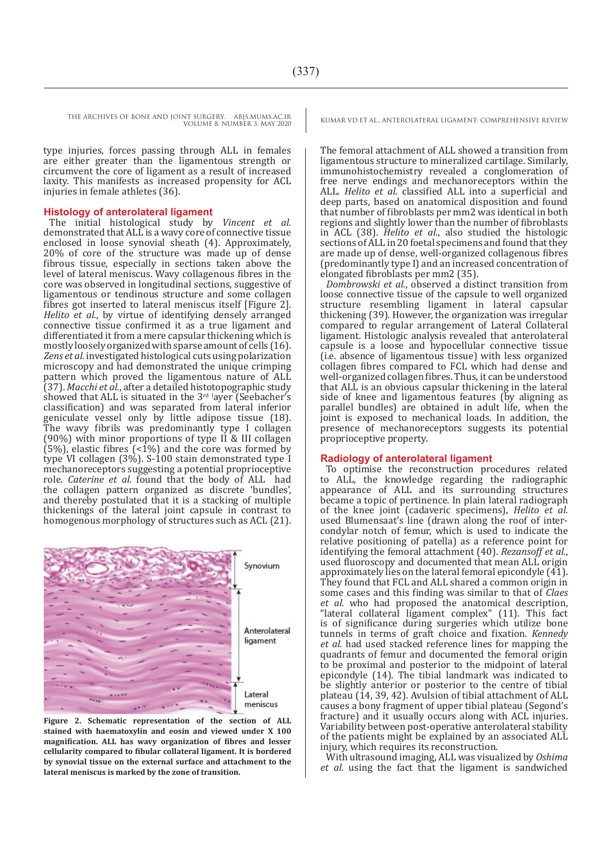type injuries, forces passing through ALL in females are either greater than the ligamentous strength or circumvent the core of ligament as a result of increased laxity. This manifests as increased propensity for ACL injuries in female athletes (36).

#### **Histology of anterolateral ligament**

The initial histological study by *Vincent et al.* demonstrated that ALL is a wavy core of connective tissue enclosed in loose synovial sheath (4). Approximately, 20% of core of the structure was made up of dense fibrous tissue, especially in sections taken above the level of lateral meniscus. Wavy collagenous fibres in the core was observed in longitudinal sections, suggestive of ligamentous or tendinous structure and some collagen fibres got inserted to lateral meniscus itself [Figure 2]. *Helito et al.*, by virtue of identifying densely arranged connective tissue confirmed it as a true ligament and differentiated it from a mere capsular thickening which is mostly loosely organized with sparse amount of cells (16). *Zens et al.* investigated histological cuts using polarization microscopy and had demonstrated the unique crimping pattern which proved the ligamentous nature of ALL (37). *Macchi et al.*, after a detailed histotopographic study showed that ALL is situated in the 3rd layer (Seebacher's classification) and was separated from lateral inferior geniculate vessel only by little adipose tissue (18). The wavy fibrils was predominantly type I collagen (90%) with minor proportions of type II & III collagen  $(5%)$ , elastic fibres  $(5%)$  and the core was formed by type VI collagen (3%). S-100 stain demonstrated type I mechanoreceptors suggesting a potential proprioceptive role. *Caterine et al.* found that the body of ALL had the collagen pattern organized as discrete 'bundles', and thereby postulated that it is a stacking of multiple thickenings of the lateral joint capsule in contrast to homogenous morphology of structures such as ACL (21).



**Figure 2. Schematic representation of the section of ALL stained with haematoxylin and eosin and viewed under X 100 magnification. ALL has wavy organization of fibres and lesser cellularity compared to fibular collateral ligament. It is bordered by synovial tissue on the external surface and attachment to the lateral meniscus is marked by the zone of transition.** 

The femoral attachment of ALL showed a transition from ligamentous structure to mineralized cartilage. Similarly, immunohistochemistry revealed a conglomeration of free nerve endings and mechanoreceptors within the ALL. *Helito et al.* classified ALL into a superficial and deep parts, based on anatomical disposition and found that number of fibroblasts per mm2 was identical in both regions and slightly lower than the number of fibroblasts in ACL (38). *Helito et al.*, also studied the histologic sections of ALL in 20 foetal specimens and found that they are made up of dense, well-organized collagenous fibres (predominantly type I) and an increased concentration of elongated fibroblasts per mm2 (35).

*Dombrowski et al.*, observed a distinct transition from loose connective tissue of the capsule to well organized structure resembling ligament in lateral capsular thickening (39). However, the organization was irregular compared to regular arrangement of Lateral Collateral ligament. Histologic analysis revealed that anterolateral capsule is a loose and hypocellular connective tissue (i.e. absence of ligamentous tissue) with less organized collagen fibres compared to FCL which had dense and well-organized collagen fibres. Thus, it can be understood that ALL is an obvious capsular thickening in the lateral side of knee and ligamentous features (by aligning as parallel bundles) are obtained in adult life, when the joint is exposed to mechanical loads. In addition, the presence of mechanoreceptors suggests its potential proprioceptive property.

#### **Radiology of anterolateral ligament**

To optimise the reconstruction procedures related to ALL, the knowledge regarding the radiographic appearance of ALL and its surrounding structures became a topic of pertinence. In plain lateral radiograph of the knee joint (cadaveric specimens), *Helito et al.* used Blumensaat's line (drawn along the roof of intercondylar notch of femur, which is used to indicate the relative positioning of patella) as a reference point for identifying the femoral attachment (40). *Rezansoff et al.*, used fluoroscopy and documented that mean ALL origin approximately lies on the lateral femoral epicondyle (41). They found that FCL and ALL shared a common origin in some cases and this finding was similar to that of *Claes et al.* who had proposed the anatomical description, "lateral collateral ligament complex" (11). This fact is of significance during surgeries which utilize bone tunnels in terms of graft choice and fixation. *Kennedy et al.* had used stacked reference lines for mapping the quadrants of femur and documented the femoral origin to be proximal and posterior to the midpoint of lateral epicondyle (14). The tibial landmark was indicated to be slightly anterior or posterior to the centre of tibial plateau (14, 39, 42). Avulsion of tibial attachment of ALL causes a bony fragment of upper tibial plateau (Segond's fracture) and it usually occurs along with ACL injuries. Variability between post-operative anterolateral stability of the patients might be explained by an associated ALL injury, which requires its reconstruction.

With ultrasound imaging, ALL was visualized by *Oshima et al.* using the fact that the ligament is sandwiched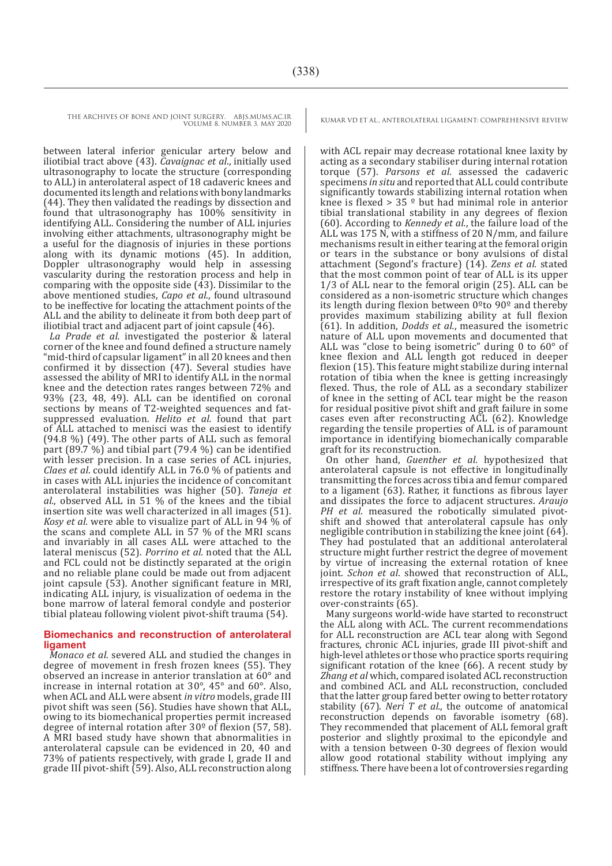VOLUME 8. NUMBER 3. MAY 2020

THE ARCHIVES OF BONE AND JOINT SURGERY. ABJS.MUMS.AC.IR KUMAR VD ET AL., ANTEROLATERAL LIGAMENT: COMPREHENSIVE REVIEW

between lateral inferior genicular artery below and iliotibial tract above (43). *Cavaignac et al*., initially used ultrasonography to locate the structure (corresponding to ALL) in anterolateral aspect of 18 cadaveric knees and documented its length and relations with bony landmarks (44). They then validated the readings by dissection and found that ultrasonography has 100% sensitivity in identifying ALL. Considering the number of ALL injuries involving either attachments, ultrasonography might be a useful for the diagnosis of injuries in these portions along with its dynamic motions (45). In addition, Doppler ultrasonography would help in assessing vascularity during the restoration process and help in comparing with the opposite side (43). Dissimilar to the above mentioned studies, *Capo et al.*, found ultrasound to be ineffective for locating the attachment points of the ALL and the ability to delineate it from both deep part of iliotibial tract and adjacent part of joint capsule (46).

*La Prade et al.* investigated the posterior & lateral corner of the knee and found defined a structure namely "mid-third of capsular ligament" in all 20 knees and then confirmed it by dissection (47). Several studies have assessed the ability of MRI to identify ALL in the normal knee and the detection rates ranges between 72% and 93% (23, 48, 49). ALL can be identified on coronal sections by means of T2-weighted sequences and fatsuppressed evaluation. *Helito et al.* found that part of ALL attached to menisci was the easiest to identify (94.8 %) (49). The other parts of ALL such as femoral part (89.7 %) and tibial part (79.4 %) can be identified with lesser precision. In a case series of ACL injuries, *Claes et al*. could identify ALL in 76.0 % of patients and in cases with ALL injuries the incidence of concomitant anterolateral instabilities was higher (50). *Taneja et al.*, observed ALL in 51 % of the knees and the tibial insertion site was well characterized in all images (51). *Kosy et al.* were able to visualize part of ALL in 94 % of the scans and complete ALL in 57 % of the MRI scans and invariably in all cases ALL were attached to the lateral meniscus (52). *Porrino et al.* noted that the ALL and FCL could not be distinctly separated at the origin and no reliable plane could be made out from adjacent joint capsule (53). Another significant feature in MRI, indicating ALL injury, is visualization of oedema in the bone marrow of lateral femoral condyle and posterior tibial plateau following violent pivot-shift trauma (54).

#### **Biomechanics and reconstruction of anterolateral ligament**

*Monaco et al.* severed ALL and studied the changes in degree of movement in fresh frozen knees (55). They observed an increase in anterior translation at 60° and increase in internal rotation at 30°, 45° and 60°. Also, when ACL and ALL were absent *in vitro* models, grade III pivot shift was seen (56). Studies have shown that ALL, owing to its biomechanical properties permit increased degree of internal rotation after 30º of flexion (57, 58). A MRI based study have shown that abnormalities in anterolateral capsule can be evidenced in 20, 40 and 73% of patients respectively, with grade I, grade II and grade III pivot-shift (59). Also, ALL reconstruction along with ACL repair may decrease rotational knee laxity by acting as a secondary stabiliser during internal rotation torque (57). *Parsons et al.* assessed the cadaveric specimens *in situ* and reported that ALL could contribute significantly towards stabilizing internal rotation when knee is flexed  $> 35$   $\degree$  but had minimal role in anterior tibial translational stability in any degrees of flexion (60). According to *Kennedy et al.*, the failure load of the ALL was 175 N, with a stiffness of 20 N/mm, and failure mechanisms result in either tearing at the femoral origin or tears in the substance or bony avulsions of distal attachment (Segond's fracture) (14). *Zens et al.* stated that the most common point of tear of ALL is its upper 1/3 of ALL near to the femoral origin (25). ALL can be considered as a non-isometric structure which changes its length during flexion between  $0<sup>o</sup>$  to 90<sup> $o$ </sup> and thereby provides maximum stabilizing ability at full flexion (61). In addition, *Dodds et al.*, measured the isometric nature of ALL upon movements and documented that ALL was "close to being isometric" during 0 to 60° of knee flexion and ALL length got reduced in deeper flexion (15). This feature might stabilize during internal rotation of tibia when the knee is getting increasingly flexed. Thus, the role of ALL as a secondary stabilizer of knee in the setting of ACL tear might be the reason for residual positive pivot shift and graft failure in some cases even after reconstructing ACL (62). Knowledge regarding the tensile properties of ALL is of paramount importance in identifying biomechanically comparable graft for its reconstruction.

On other hand, *Guenther et al.* hypothesized that anterolateral capsule is not effective in longitudinally transmitting the forces across tibia and femur compared to a ligament (63). Rather, it functions as fibrous layer and dissipates the force to adjacent structures. *Araujo PH et al.* measured the robotically simulated pivotshift and showed that anterolateral capsule has only negligible contribution in stabilizing the knee joint (64). They had postulated that an additional anterolateral structure might further restrict the degree of movement by virtue of increasing the external rotation of knee joint. *Schon et al*. showed that reconstruction of ALL, irrespective of its graft fixation angle, cannot completely restore the rotary instability of knee without implying over-constraints (65).

Many surgeons world-wide have started to reconstruct the ALL along with ACL. The current recommendations for ALL reconstruction are ACL tear along with Segond fractures, chronic ACL injuries, grade III pivot-shift and high-level athletes or those who practice sports requiring significant rotation of the knee (66). A recent study by *Zhang et al* which, compared isolated ACL reconstruction and combined ACL and ALL reconstruction, concluded that the latter group fared better owing to better rotatory stability (67). *Neri T et al.*, the outcome of anatomical reconstruction depends on favorable isometry (68). They recommended that placement of ALL femoral graft posterior and slightly proximal to the epicondyle and with a tension between 0-30 degrees of flexion would allow good rotational stability without implying any stiffness. There have been a lot of controversies regarding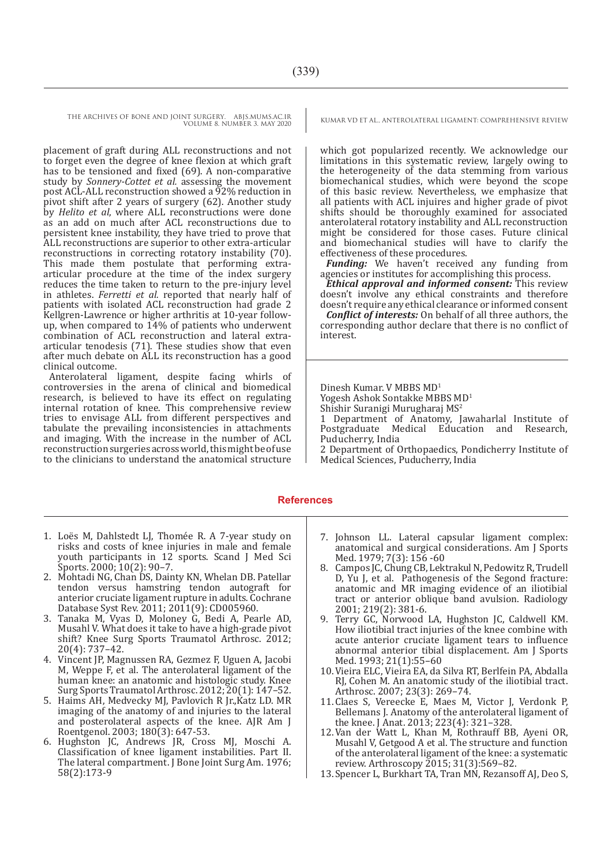placement of graft during ALL reconstructions and not to forget even the degree of knee flexion at which graft has to be tensioned and fixed (69). A non-comparative study by *Sonnery-Cottet et al.* assessing the movement post ACL-ALL reconstruction showed a 92% reduction in pivot shift after 2 years of surgery (62). Another study by *Helito et al*, where ALL reconstructions were done as an add on much after ACL reconstructions due to persistent knee instability, they have tried to prove that ALL reconstructions are superior to other extra-articular reconstructions in correcting rotatory instability (70). This made them postulate that performing extraarticular procedure at the time of the index surgery reduces the time taken to return to the pre-injury level in athletes. *Ferretti et al.* reported that nearly half of patients with isolated ACL reconstruction had grade 2 Kellgren-Lawrence or higher arthritis at 10-year followup, when compared to 14% of patients who underwent combination of ACL reconstruction and lateral extraarticular tenodesis (71). These studies show that even after much debate on ALL its reconstruction has a good clinical outcome.

Anterolateral ligament, despite facing whirls of controversies in the arena of clinical and biomedical research, is believed to have its effect on regulating internal rotation of knee. This comprehensive review tries to envisage ALL from different perspectives and tabulate the prevailing inconsistencies in attachments and imaging. With the increase in the number of ACL reconstruction surgeries across world, this might be of use to the clinicians to understand the anatomical structure

which got popularized recently. We acknowledge our limitations in this systematic review, largely owing to the heterogeneity of the data stemming from various biomechanical studies, which were beyond the scope of this basic review. Nevertheless, we emphasize that all patients with ACL injuires and higher grade of pivot shifts should be thoroughly examined for associated anterolateral rotatory instability and ALL reconstruction might be considered for those cases. Future clinical and biomechanical studies will have to clarify the effectiveness of these procedures.

*Funding:* We haven't received any funding from agencies or institutes for accomplishing this process.

*Ethical approval and informed consent:* This review doesn't involve any ethical constraints and therefore doesn't require any ethical clearance or informed consent

*Conflict of interests:* On behalf of all three authors, the corresponding author declare that there is no conflict of interest.

Dinesh Kumar. V MBBS MD<sup>1</sup>

Yogesh Ashok Sontakke MBBS MD<sup>1</sup>

Shishir Suranigi Murugharaj MS<sup>2</sup>

1 Department of Anatomy, Jawaharlal Institute of Postgraduate Medical Education and Research, Puducherry, India

2 Department of Orthopaedics, Pondicherry Institute of Medical Sciences, Puducherry, India

#### **References**

- 1. Loës M, Dahlstedt LJ, Thomée R. A 7-year study on risks and costs of knee injuries in male and female youth participants in 12 sports. Scand J Med Sci Sports. 2000; 10(2): 90–7.
- 2. Mohtadi NG, Chan DS, Dainty KN, Whelan DB. Patellar tendon versus hamstring tendon autograft for anterior cruciate ligament rupture in adults. Cochrane Database Syst Rev. 2011; 2011(9): CD005960.
- 3. Tanaka M, Vyas D, Moloney G, Bedi A, Pearle AD, Musahl V. What does it take to have a high-grade pivot shift? Knee Surg Sports Traumatol Arthrosc. 2012; 20(4): 737–42.
- 4. Vincent JP, Magnussen RA, Gezmez F, Uguen A, Jacobi M, Weppe F, et al. The anterolateral ligament of the human knee: an anatomic and histologic study. Knee Surg Sports Traumatol Arthrosc. 2012; 20(1): 147–52.
- 5. Haims AH, Medvecky MJ, Pavlovich R Jr.,Katz LD. MR imaging of the anatomy of and injuries to the lateral and posterolateral aspects of the knee. AJR Am J Roentgenol. 2003; 180(3): 647-53.
- 6. Hughston JC, Andrews JR, Cross MJ, Moschi A. Classification of knee ligament instabilities. Part II. The lateral compartment. J Bone Joint Surg Am. 1976; 58(2):173-9
- 7. Johnson LL. Lateral capsular ligament complex: anatomical and surgical considerations. Am J Sports Med. 1979; 7(3): 156 -60
- 8. Campos JC, Chung CB, Lektrakul N, Pedowitz R, Trudell D, Yu J, et al. Pathogenesis of the Segond fracture: anatomic and MR imaging evidence of an iliotibial tract or anterior oblique band avulsion. Radiology 2001; 219(2): 381-6.
- 9. Terry GC, Norwood LA, Hughston JC, Caldwell KM. How iliotibial tract injuries of the knee combine with acute anterior cruciate ligament tears to influence abnormal anterior tibial displacement. Am J Sports Med. 1993; 21(1):55–60
- 10.Vieira ELC, Vieira EA, da Silva RT, Berlfein PA, Abdalla RJ, Cohen M. An anatomic study of the iliotibial tract. Arthrosc. 2007; 23(3): 269–74.
- 11.Claes S, Vereecke E, Maes M, Victor J, Verdonk P, Bellemans J. Anatomy of the anterolateral ligament of the knee. J Anat. 2013; 223(4): 321–328.
- 12.Van der Watt L, Khan M, Rothrauff BB, Ayeni OR, Musahl V, Getgood A et al. The structure and function of the anterolateral ligament of the knee: a systematic review. Arthroscopy 2015; 31(3):569–82.
- 13.Spencer L, Burkhart TA, Tran MN, Rezansoff AJ, Deo S,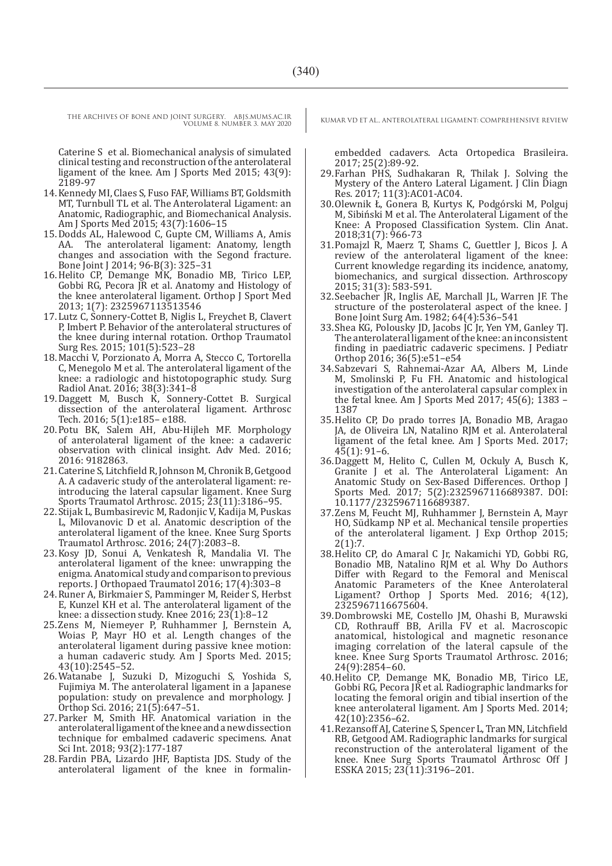VOLUME 8. NUMBER 3. MAY 2020

Caterine S et al. Biomechanical analysis of simulated clinical testing and reconstruction of the anterolateral ligament of the knee. Am J Sports Med 2015; 43(9): 2189-97

- 14.Kennedy MI, Claes S, Fuso FAF, Williams BT, Goldsmith MT, Turnbull TL et al. The Anterolateral Ligament: an Anatomic, Radiographic, and Biomechanical Analysis. Am J Sports Med 2015; 43(7):1606–15
- 15.Dodds AL, Halewood C, Gupte CM, Williams A, Amis AA. The anterolateral ligament: Anatomy, length changes and association with the Segond fracture. Bone Joint J 2014; 96-B(3): 325–31
- 16.Helito CP, Demange MK, Bonadio MB, Tirico LEP, Gobbi RG, Pecora JR et al. Anatomy and Histology of the knee anterolateral ligament. Orthop J Sport Med 2013; 1(7): 2325967113513546
- 17.Lutz C, Sonnery-Cottet B, Niglis L, Freychet B, Clavert P, Imbert P. Behavior of the anterolateral structures of the knee during internal rotation. Orthop Traumatol Surg Res. 2015; 101(5):523–28
- 18.Macchi V, Porzionato A, Morra A, Stecco C, Tortorella C, Menegolo M et al. The anterolateral ligament of the knee: a radiologic and histotopographic study. Surg Radiol Anat. 2016; 38(3):341–8
- 19.Daggett M, Busch K, Sonnery-Cottet B. Surgical dissection of the anterolateral ligament. Arthrosc Tech. 2016; 5(1):e185– e188.
- 20.Potu BK, Salem AH, Abu-Hijleh MF. Morphology of anterolateral ligament of the knee: a cadaveric observation with clinical insight. Adv Med. 2016; 2016: 9182863.
- 21.Caterine S, Litchfield R, Johnson M, Chronik B, Getgood A. A cadaveric study of the anterolateral ligament: reintroducing the lateral capsular ligament. Knee Surg Sports Traumatol Arthrosc. 2015; 23(11):3186–95.
- 22.Stijak L, Bumbasirevic M, Radonjic V, Kadija M, Puskas L, Milovanovic D et al. Anatomic description of the anterolateral ligament of the knee. Knee Surg Sports Traumatol Arthrosc. 2016; 24(7):2083–8.
- 23.Kosy JD, Sonui A, Venkatesh R, Mandalia VI. The anterolateral ligament of the knee: unwrapping the enigma. Anatomical study and comparison to previous reports. J Orthopaed Traumatol 2016; 17(4):303–8
- 24.Runer A, Birkmaier S, Pamminger M, Reider S, Herbst E, Kunzel KH et al. The anterolateral ligament of the knee: a dissection study. Knee 2016;  $23(1):8-12$
- 25.Zens M, Niemeyer P, Ruhhammer J, Bernstein A, Woias P, Mayr HO et al. Length changes of the anterolateral ligament during passive knee motion: a human cadaveric study. Am J Sports Med. 2015; 43(10):2545–52.
- 26.Watanabe J, Suzuki D, Mizoguchi S, Yoshida S, Fujimiya M. The anterolateral ligament in a Japanese population: study on prevalence and morphology. J Orthop Sci. 2016; 21(5):647–51.
- 27.Parker M, Smith HF. Anatomical variation in the anterolateral ligament of the knee and a new dissection technique for embalmed cadaveric specimens. Anat Sci Int. 2018; 93(2):177-187
- 28.Fardin PBA, Lizardo JHF, Baptista JDS. Study of the anterolateral ligament of the knee in formalin-

THE ARCHIVES OF BONE AND JOINT SURGERY. ABJS.MUMS.AC.IR KUMAR VD ET AL., ANTEROLATERAL LIGAMENT: COMPREHENSIVE REVIEW

embedded cadavers. Acta Ortopedica Brasileira. 2017; 25(2):89-92.

- 29.Farhan PHS, Sudhakaran R, Thilak J. Solving the Mystery of the Antero Lateral Ligament. J Clin Diagn Res. 2017; 11(3):AC01-AC04.
- 30.Olewnik Ł, Gonera B, Kurtys K, Podgórski M, Polguj M, Sibiński M et al. The Anterolateral Ligament of the Knee: A Proposed Classification System. Clin Anat. 2018;31(7): 966-73
- 31.Pomajzl R, Maerz T, Shams C, Guettler J, Bicos J. A review of the anterolateral ligament of the knee: Current knowledge regarding its incidence, anatomy, biomechanics, and surgical dissection. Arthroscopy 2015; 31(3): 583-591.
- 32.Seebacher JR, Inglis AE, Marchall JL, Warren JF. The structure of the posterolateral aspect of the knee. J Bone Joint Surg Am. 1982; 64(4):536–541
- 33.Shea KG, Polousky JD, Jacobs JC Jr, Yen YM, Ganley TJ. The anterolateral ligament of the knee: an inconsistent finding in paediatric cadaveric specimens. J Pediatr Orthop 2016; 36(5):e51–e54
- 34.Sabzevari S, Rahnemai-Azar AA, Albers M, Linde M, Smolinski P, Fu FH. Anatomic and histological investigation of the anterolateral capsular complex in the fetal knee. Am J Sports Med 2017; 45(6); 1383 – 1387
- 35.Helito CP, Do prado torres JA, Bonadio MB, Aragao JA, de Oliveira LN, Natalino RJM et al. Anterolateral ligament of the fetal knee. Am J Sports Med. 2017; 45(1): 91–6.
- 36.Daggett M, Helito C, Cullen M, Ockuly A, Busch K, Granite J et al. The Anterolateral Ligament: An Anatomic Study on Sex-Based Differences. Orthop J Sports Med. 2017; 5(2):2325967116689387. DOI: 10.1177/2325967116689387.
- 37.Zens M, Feucht MJ, Ruhhammer J, Bernstein A, Mayr HO, Südkamp NP et al. Mechanical tensile properties of the anterolateral ligament. J Exp Orthop 2015;  $2(1):7.$
- 38.Helito CP, do Amaral C Jr, Nakamichi YD, Gobbi RG, Bonadio MB, Natalino RJM et al. Why Do Authors Differ with Regard to the Femoral and Meniscal Anatomic Parameters of the Knee Anterolateral Ligament? Orthop J Sports Med. 2016; 4(12), 2325967116675604.
- 39.Dombrowski ME, Costello JM, Ohashi B, Murawski CD, Rothrauff BB, Arilla FV et al. Macroscopic anatomical, histological and magnetic resonance imaging correlation of the lateral capsule of the knee. Knee Surg Sports Traumatol Arthrosc. 2016; 24(9):2854–60.
- 40.Helito CP, Demange MK, Bonadio MB, Tirico LE, Gobbi RG, Pecora JR et al. Radiographic landmarks for locating the femoral origin and tibial insertion of the knee anterolateral ligament. Am J Sports Med. 2014; 42(10):2356–62.
- 41.Rezansoff AJ, Caterine S, Spencer L, Tran MN, Litchfield RB, Getgood AM. Radiographic landmarks for surgical reconstruction of the anterolateral ligament of the knee. Knee Surg Sports Traumatol Arthrosc Off J ESSKA 2015; 23(11):3196–201.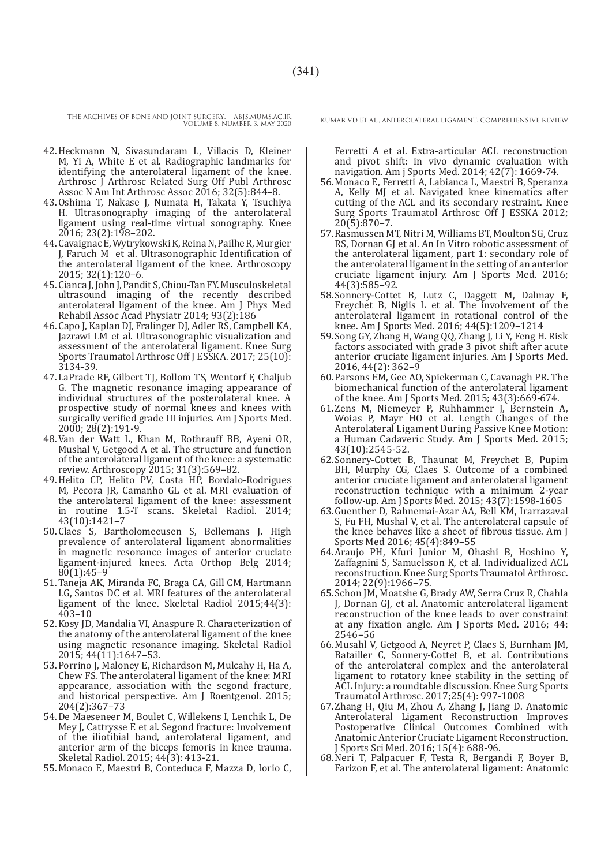- 42.Heckmann N, Sivasundaram L, Villacis D, Kleiner M, Yi A, White E et al. Radiographic landmarks for identifying the anterolateral ligament of the knee. Arthrosc J Arthrosc Related Surg Off Publ Arthrosc Assoc N Am Int Arthrosc Assoc 2016; 32(5):844–8.
- 43.Oshima T, Nakase J, Numata H, Takata Y, Tsuchiya H. Ultrasonography imaging of the anterolateral ligament using real-time virtual sonography. Knee 2016; 23(2):198–202.
- 44.Cavaignac E, Wytrykowski K, Reina N, Pailhe R, Murgier J, Faruch M et al. Ultrasonographic Identification of the anterolateral ligament of the knee. Arthroscopy 2015; 32(1):120–6.
- 45.Cianca J, John J, Pandit S, Chiou-Tan FY. Musculoskeletal ultrasound imaging of the recently described anterolateral ligament of the knee. Am J Phys Med Rehabil Assoc Acad Physiatr 2014; 93(2):186
- 46.Capo J, Kaplan DJ, Fralinger DJ, Adler RS, Campbell KA, Jazrawi LM et al. Ultrasonographic visualization and assessment of the anterolateral ligament. Knee Surg Sports Traumatol Arthrosc Off J ESSKA. 2017; 25(10): 3134-39.
- 47.LaPrade RF, Gilbert TJ, Bollom TS, Wentorf F, Chaljub G. The magnetic resonance imaging appearance of individual structures of the posterolateral knee. A prospective study of normal knees and knees with surgically verified grade III injuries. Am J Sports Med. 2000; 28(2):191-9.
- 48.Van der Watt L, Khan M, Rothrauff BB, Ayeni OR, Mushal V, Getgood A et al. The structure and function of the anterolateral ligament of the knee: a systematic review. Arthroscopy 2015; 31(3):569–82.
- 49. Helito CP, Helito PV, Costa HP, Bordalo-Rodrigues M, Pecora JR, Camanho GL et al. MRI evaluation of the anterolateral ligament of the knee: assessment in routine 1.5-T scans. Skeletal Radiol. 2014; 43(10):1421–7
- 50.Claes S, Bartholomeeusen S, Bellemans J. High prevalence of anterolateral ligament abnormalities in magnetic resonance images of anterior cruciate ligament-injured knees. Acta Orthop Belg 2014; 80(1):45–9
- 51.Taneja AK, Miranda FC, Braga CA, Gill CM, Hartmann LG, Santos DC et al. MRI features of the anterolateral ligament of the knee. Skeletal Radiol 2015;44(3):  $403 - 10$
- 52.Kosy JD, Mandalia VI, Anaspure R. Characterization of the anatomy of the anterolateral ligament of the knee using magnetic resonance imaging. Skeletal Radiol 2015; 44(11):1647–53.
- 53.Porrino J, Maloney E, Richardson M, Mulcahy H, Ha A, Chew FS. The anterolateral ligament of the knee: MRI appearance, association with the segond fracture, and historical perspective. Am J Roentgenol. 2015; 204(2):367–73
- 54.De Maeseneer M, Boulet C, Willekens I, Lenchik L, De Mey J, Cattrysse E et al. Segond fracture: Involvement of the iliotibial band, anterolateral ligament, and anterior arm of the biceps femoris in knee trauma. Skeletal Radiol. 2015; 44(3): 413-21.
- 55.Monaco E, Maestri B, Conteduca F, Mazza D, Iorio C,

Ferretti A et al. Extra-articular ACL reconstruction and pivot shift: in vivo dynamic evaluation with navigation. Am j Sports Med. 2014; 42(7): 1669-74.

- 56.Monaco E, Ferretti A, Labianca L, Maestri B, Speranza A, Kelly MJ et al. Navigated knee kinematics after cutting of the ACL and its secondary restraint. Knee Surg Sports Traumatol Arthrosc Off J ESSKA 2012; 20(5):870–7.
- 57.Rasmussen MT, Nitri M, Williams BT, Moulton SG, Cruz RS, Dornan GJ et al. An In Vitro robotic assessment of the anterolateral ligament, part 1: secondary role of the anterolateral ligament in the setting of an anterior cruciate ligament injury. Am J Sports Med. 2016; 44(3):585–92.
- 58.Sonnery-Cottet B, Lutz C, Daggett M, Dalmay F, Freychet B, Niglis L et al. The involvement of the anterolateral ligament in rotational control of the knee. Am J Sports Med. 2016; 44(5):1209–1214
- 59.Song GY, Zhang H, Wang QQ, Zhang J, Li Y, Feng H. Risk factors associated with grade 3 pivot shift after acute anterior cruciate ligament injuries. Am J Sports Med. 2016, 44(2): 362–9
- 60.Parsons EM, Gee AO, Spiekerman C, Cavanagh PR. The biomechanical function of the anterolateral ligament of the knee. Am J Sports Med. 2015; 43(3):669-674.
- 61.Zens M, Niemeyer P, Ruhhammer J, Bernstein A, Woias P, Mayr HO et al. Length Changes of the Anterolateral Ligament During Passive Knee Motion: a Human Cadaveric Study. Am J Sports Med. 2015; 43(10):2545-52.
- 62.Sonnery-Cottet B, Thaunat M, Freychet B, Pupim BH, Murphy CG, Claes S. Outcome of a combined anterior cruciate ligament and anterolateral ligament reconstruction technique with a minimum 2-year follow-up. Am J Sports Med. 2015; 43(7):1598-1605
- 63.Guenther D, Rahnemai-Azar AA, Bell KM, Irarrazaval S, Fu FH, Mushal V, et al. The anterolateral capsule of the knee behaves like a sheet of fibrous tissue. Am J Sports Med 2016; 45(4):849–55
- 64.Araujo PH, Kfuri Junior M, Ohashi B, Hoshino Y, Zaffagnini S, Samuelsson K, et al. Individualized ACL reconstruction. Knee Surg Sports Traumatol Arthrosc. 2014; 22(9):1966–75.
- 65.Schon JM, Moatshe G, Brady AW, Serra Cruz R, Chahla J, Dornan GJ, et al. Anatomic anterolateral ligament reconstruction of the knee leads to over constraint at any fixation angle. Am J Sports Med. 2016; 44: 2546–56
- 66.Musahl V, Getgood A, Neyret P, Claes S, Burnham JM, Batailler C, Sonnery-Cottet B, et al. Contributions of the anterolateral complex and the anterolateral ligament to rotatory knee stability in the setting of ACL Injury: a roundtable discussion. Knee Surg Sports Traumatol Arthrosc. 2017;25(4): 997-1008
- 67.Zhang H, Qiu M, Zhou A, Zhang J, Jiang D. Anatomic Anterolateral Ligament Reconstruction Improves Postoperative Clinical Outcomes Combined with Anatomic Anterior Cruciate Ligament Reconstruction. J Sports Sci Med. 2016; 15(4): 688-96.
- 68.Neri T, Palpacuer F, Testa R, Bergandi F, Boyer B, Farizon F, et al. The anterolateral ligament: Anatomic